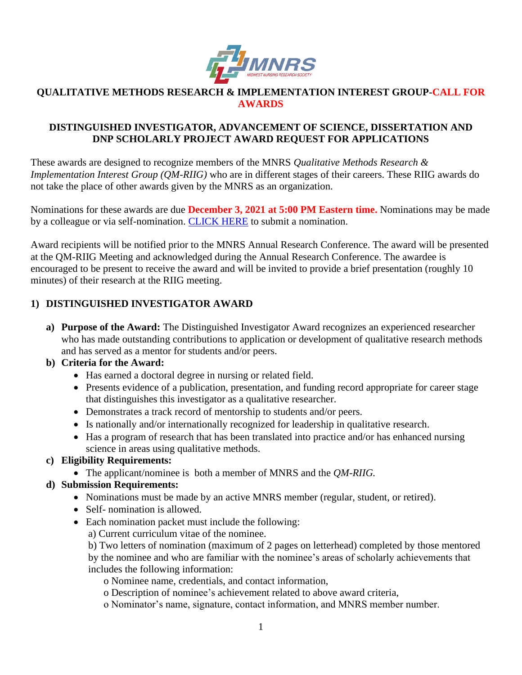

#### **QUALITATIVE METHODS RESEARCH & IMPLEMENTATION INTEREST GROUP-CALL FOR AWARDS**

#### **DISTINGUISHED INVESTIGATOR, ADVANCEMENT OF SCIENCE, DISSERTATION AND DNP SCHOLARLY PROJECT AWARD REQUEST FOR APPLICATIONS**

These awards are designed to recognize members of the MNRS *Qualitative Methods Research & Implementation Interest Group (QM-RIIG)* who are in different stages of their careers. These RIIG awards do not take the place of other awards given by the MNRS as an organization.

Nominations for these awards are due **December 3, 2021 at 5:00 PM Eastern time.** Nominations may be made by a colleague or via self-nomination. [CLICK HERE](https://mnrs.societyconference.com/?conf_id=10006&m=user&h=event/ev_073mx) to submit a nomination.

Award recipients will be notified prior to the MNRS Annual Research Conference. The award will be presented at the QM-RIIG Meeting and acknowledged during the Annual Research Conference. The awardee is encouraged to be present to receive the award and will be invited to provide a brief presentation (roughly 10 minutes) of their research at the RIIG meeting.

# **1) DISTINGUISHED INVESTIGATOR AWARD**

**a) Purpose of the Award:** The Distinguished Investigator Award recognizes an experienced researcher who has made outstanding contributions to application or development of qualitative research methods and has served as a mentor for students and/or peers.

## **b) Criteria for the Award:**

- Has earned a doctoral degree in nursing or related field.
- Presents evidence of a publication, presentation, and funding record appropriate for career stage that distinguishes this investigator as a qualitative researcher.
- Demonstrates a track record of mentorship to students and/or peers.
- Is nationally and/or internationally recognized for leadership in qualitative research.
- Has a program of research that has been translated into practice and/or has enhanced nursing science in areas using qualitative methods.

## **c) Eligibility Requirements:**

• The applicant/nominee is both a member of MNRS and the *QM-RIIG.*

## **d) Submission Requirements:**

- Nominations must be made by an active MNRS member (regular, student, or retired).
- Self- nomination is allowed.
- Each nomination packet must include the following:
	- a) Current curriculum vitae of the nominee.

b) Two letters of nomination (maximum of 2 pages on letterhead) completed by those mentored by the nominee and who are familiar with the nominee's areas of scholarly achievements that includes the following information:

o Nominee name, credentials, and contact information,

- o Description of nominee's achievement related to above award criteria,
- o Nominator's name, signature, contact information, and MNRS member number.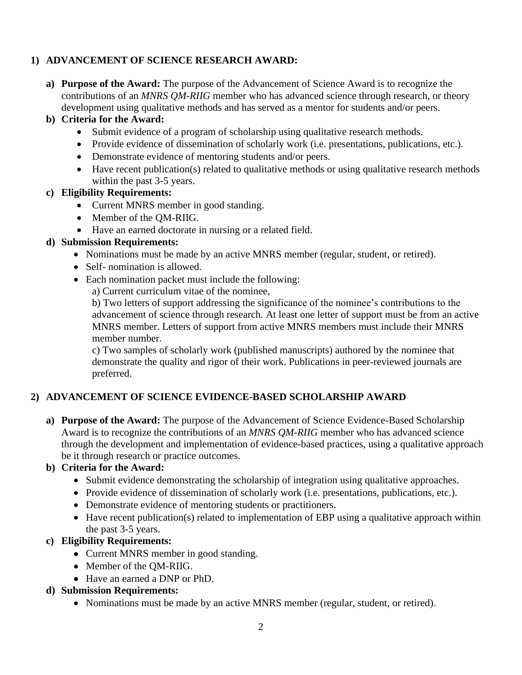# **1) ADVANCEMENT OF SCIENCE RESEARCH AWARD:**

**a) Purpose of the Award:** The purpose of the Advancement of Science Award is to recognize the contributions of an *MNRS QM-RIIG* member who has advanced science through research, or theory development using qualitative methods and has served as a mentor for students and/or peers.

#### **b) Criteria for the Award:**

- Submit evidence of a program of scholarship using qualitative research methods.
- Provide evidence of dissemination of scholarly work (i.e. presentations, publications, etc.).
- Demonstrate evidence of mentoring students and/or peers.
- Have recent publication(s) related to qualitative methods or using qualitative research methods within the past 3-5 years.

#### **c) Eligibility Requirements:**

- Current MNRS member in good standing.
- Member of the QM-RIIG.
- Have an earned doctorate in nursing or a related field.

#### **d) Submission Requirements:**

- Nominations must be made by an active MNRS member (regular, student, or retired).
- Self- nomination is allowed.
- Each nomination packet must include the following:
	- a) Current curriculum vitae of the nominee,

b) Two letters of support addressing the significance of the nominee's contributions to the advancement of science through research. At least one letter of support must be from an active MNRS member. Letters of support from active MNRS members must include their MNRS member number.

c) Two samples of scholarly work (published manuscripts) authored by the nominee that demonstrate the quality and rigor of their work. Publications in peer-reviewed journals are preferred.

## **2) ADVANCEMENT OF SCIENCE EVIDENCE-BASED SCHOLARSHIP AWARD**

**a) Purpose of the Award:** The purpose of the Advancement of Science Evidence-Based Scholarship Award is to recognize the contributions of an *MNRS QM-RIIG* member who has advanced science through the development and implementation of evidence-based practices, using a qualitative approach be it through research or practice outcomes.

#### **b) Criteria for the Award:**

- Submit evidence demonstrating the scholarship of integration using qualitative approaches.
- Provide evidence of dissemination of scholarly work (i.e. presentations, publications, etc.).
- Demonstrate evidence of mentoring students or practitioners.
- Have recent publication(s) related to implementation of EBP using a qualitative approach within the past 3-5 years.

## **c) Eligibility Requirements:**

- Current MNRS member in good standing.
- Member of the QM-RIIG.
- Have an earned a DNP or PhD.

#### **d) Submission Requirements:**

• Nominations must be made by an active MNRS member (regular, student, or retired).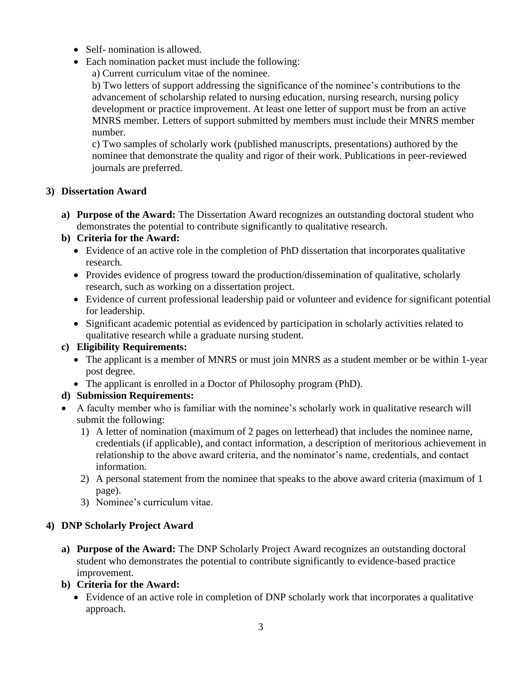- Self- nomination is allowed.
- Each nomination packet must include the following:
	- a) Current curriculum vitae of the nominee.

b) Two letters of support addressing the significance of the nominee's contributions to the advancement of scholarship related to nursing education, nursing research, nursing policy development or practice improvement. At least one letter of support must be from an active MNRS member. Letters of support submitted by members must include their MNRS member number.

c) Two samples of scholarly work (published manuscripts, presentations) authored by the nominee that demonstrate the quality and rigor of their work. Publications in peer-reviewed journals are preferred.

#### **3) Dissertation Award**

**a) Purpose of the Award:** The Dissertation Award recognizes an outstanding doctoral student who demonstrates the potential to contribute significantly to qualitative research.

## **b) Criteria for the Award:**

- Evidence of an active role in the completion of PhD dissertation that incorporates qualitative research.
- Provides evidence of progress toward the production/dissemination of qualitative, scholarly research, such as working on a dissertation project.
- Evidence of current professional leadership paid or volunteer and evidence for significant potential for leadership.
- Significant academic potential as evidenced by participation in scholarly activities related to qualitative research while a graduate nursing student.

## **c) Eligibility Requirements:**

- The applicant is a member of MNRS or must join MNRS as a student member or be within 1-year post degree.
- The applicant is enrolled in a Doctor of Philosophy program (PhD).

## **d) Submission Requirements:**

- A faculty member who is familiar with the nominee's scholarly work in qualitative research will submit the following:
	- 1) A letter of nomination (maximum of 2 pages on letterhead) that includes the nominee name, credentials (if applicable), and contact information, a description of meritorious achievement in relationship to the above award criteria, and the nominator's name, credentials, and contact information.
	- 2) A personal statement from the nominee that speaks to the above award criteria (maximum of 1 page).
	- 3) Nominee's curriculum vitae.

## **4) DNP Scholarly Project Award**

- **a) Purpose of the Award:** The DNP Scholarly Project Award recognizes an outstanding doctoral student who demonstrates the potential to contribute significantly to evidence-based practice improvement.
- **b) Criteria for the Award:** 
	- Evidence of an active role in completion of DNP scholarly work that incorporates a qualitative approach.